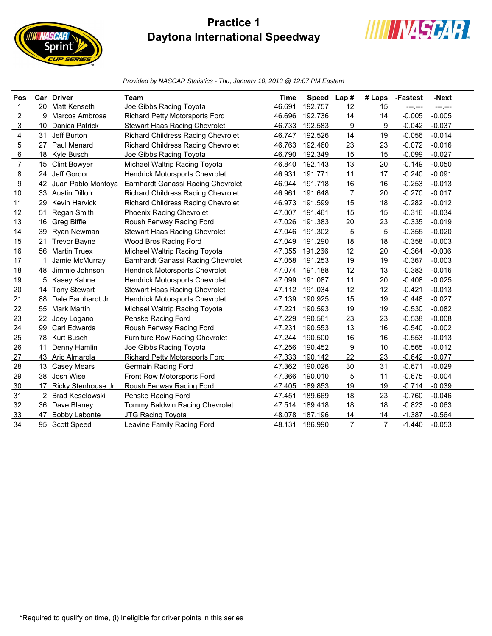## **Practice 1 Daytona International Speedway**

**IIIII NASCAR** 

print



*Provided by NASCAR Statistics - Thu, January 10, 2013 @ 12:07 PM Eastern*

| Pos |     | <b>Car Driver</b>     | Team                                      | <b>Time</b> | <b>Speed</b> | Lap#           | $#$ Laps       | -Fastest | -Next    |
|-----|-----|-----------------------|-------------------------------------------|-------------|--------------|----------------|----------------|----------|----------|
| 1   |     | 20 Matt Kenseth       | Joe Gibbs Racing Toyota                   | 46.691      | 192.757      | 12             | 15             | -------  | ---.---  |
| 2   | 9   | <b>Marcos Ambrose</b> | Richard Petty Motorsports Ford            | 46.696      | 192.736      | 14             | 14             | $-0.005$ | $-0.005$ |
| 3   | 10  | Danica Patrick        | Stewart Haas Racing Chevrolet             | 46.733      | 192.583      | 9              | 9              | $-0.042$ | $-0.037$ |
| 4   | 31  | Jeff Burton           | <b>Richard Childress Racing Chevrolet</b> | 46.747      | 192.526      | 14             | 19             | $-0.056$ | $-0.014$ |
| 5   | 27  | Paul Menard           | Richard Childress Racing Chevrolet        | 46.763      | 192.460      | 23             | 23             | $-0.072$ | $-0.016$ |
| 6   |     | 18 Kyle Busch         | Joe Gibbs Racing Toyota                   | 46.790      | 192.349      | 15             | 15             | $-0.099$ | $-0.027$ |
| 7   | 15  | <b>Clint Bowyer</b>   | Michael Waltrip Racing Toyota             | 46.840      | 192.143      | 13             | 20             | $-0.149$ | $-0.050$ |
| 8   | 24  | Jeff Gordon           | Hendrick Motorsports Chevrolet            | 46.931      | 191.771      | 11             | 17             | $-0.240$ | $-0.091$ |
| 9   | 42  | Juan Pablo Montoya    | Earnhardt Ganassi Racing Chevrolet        | 46.944      | 191.718      | 16             | 16             | $-0.253$ | $-0.013$ |
| 10  |     | 33 Austin Dillon      | <b>Richard Childress Racing Chevrolet</b> | 46.961      | 191.648      | $\overline{7}$ | 20             | $-0.270$ | $-0.017$ |
| 11  | 29  | Kevin Harvick         | <b>Richard Childress Racing Chevrolet</b> | 46.973      | 191.599      | 15             | 18             | $-0.282$ | $-0.012$ |
| 12  | 51  | Regan Smith           | <b>Phoenix Racing Chevrolet</b>           | 47.007      | 191.461      | 15             | 15             | $-0.316$ | $-0.034$ |
| 13  |     | 16 Greg Biffle        | Roush Fenway Racing Ford                  | 47.026      | 191.383      | 20             | 23             | $-0.335$ | $-0.019$ |
| 14  | 39  | Ryan Newman           | Stewart Haas Racing Chevrolet             | 47.046      | 191.302      | 5              | 5              | $-0.355$ | $-0.020$ |
| 15  | 21  | <b>Trevor Bayne</b>   | Wood Bros Racing Ford                     | 47.049      | 191.290      | 18             | 18             | $-0.358$ | $-0.003$ |
| 16  | 56  | <b>Martin Truex</b>   | Michael Waltrip Racing Toyota             | 47.055      | 191.266      | 12             | 20             | $-0.364$ | $-0.006$ |
| 17  |     | Jamie McMurray        | Earnhardt Ganassi Racing Chevrolet        | 47.058      | 191.253      | 19             | 19             | $-0.367$ | $-0.003$ |
| 18  | 48  | Jimmie Johnson        | Hendrick Motorsports Chevrolet            | 47.074      | 191.188      | 12             | 13             | $-0.383$ | $-0.016$ |
| 19  |     | 5 Kasey Kahne         | Hendrick Motorsports Chevrolet            | 47.099      | 191.087      | 11             | 20             | $-0.408$ | $-0.025$ |
| 20  | 14  | <b>Tony Stewart</b>   | <b>Stewart Haas Racing Chevrolet</b>      | 47.112      | 191.034      | 12             | 12             | $-0.421$ | $-0.013$ |
| 21  | 88  | Dale Earnhardt Jr.    | <b>Hendrick Motorsports Chevrolet</b>     | 47.139      | 190.925      | 15             | 19             | $-0.448$ | $-0.027$ |
| 22  | 55  | <b>Mark Martin</b>    | Michael Waltrip Racing Toyota             | 47.221      | 190.593      | 19             | 19             | $-0.530$ | $-0.082$ |
| 23  | 22  | Joey Logano           | Penske Racing Ford                        | 47.229      | 190.561      | 23             | 23             | $-0.538$ | $-0.008$ |
| 24  | 99  | Carl Edwards          | Roush Fenway Racing Ford                  | 47.231      | 190.553      | 13             | 16             | $-0.540$ | $-0.002$ |
| 25  | 78. | <b>Kurt Busch</b>     | Furniture Row Racing Chevrolet            | 47.244      | 190.500      | 16             | 16             | $-0.553$ | $-0.013$ |
| 26  | 11  | Denny Hamlin          | Joe Gibbs Racing Toyota                   | 47.256      | 190.452      | 9              | 10             | $-0.565$ | $-0.012$ |
| 27  |     | 43 Aric Almarola      | <b>Richard Petty Motorsports Ford</b>     | 47.333      | 190.142      | 22             | 23             | $-0.642$ | $-0.077$ |
| 28  | 13  | <b>Casey Mears</b>    | Germain Racing Ford                       | 47.362      | 190.026      | 30             | 31             | $-0.671$ | $-0.029$ |
| 29  | 38  | Josh Wise             | Front Row Motorsports Ford                | 47.366      | 190.010      | 5              | 11             | $-0.675$ | $-0.004$ |
| 30  | 17  | Ricky Stenhouse Jr.   | Roush Fenway Racing Ford                  | 47.405      | 189.853      | 19             | 19             | $-0.714$ | $-0.039$ |
| 31  |     | 2 Brad Keselowski     | Penske Racing Ford                        | 47.451      | 189.669      | 18             | 23             | $-0.760$ | $-0.046$ |
| 32  | 36  | Dave Blaney           | Tommy Baldwin Racing Chevrolet            | 47.514      | 189.418      | 18             | 18             | $-0.823$ | $-0.063$ |
| 33  | 47  | <b>Bobby Labonte</b>  | <b>JTG Racing Toyota</b>                  | 48.078      | 187.196      | 14             | 14             | $-1.387$ | $-0.564$ |
| 34  |     | 95 Scott Speed        | Leavine Family Racing Ford                | 48.131      | 186.990      | $\overline{7}$ | $\overline{7}$ | $-1.440$ | $-0.053$ |